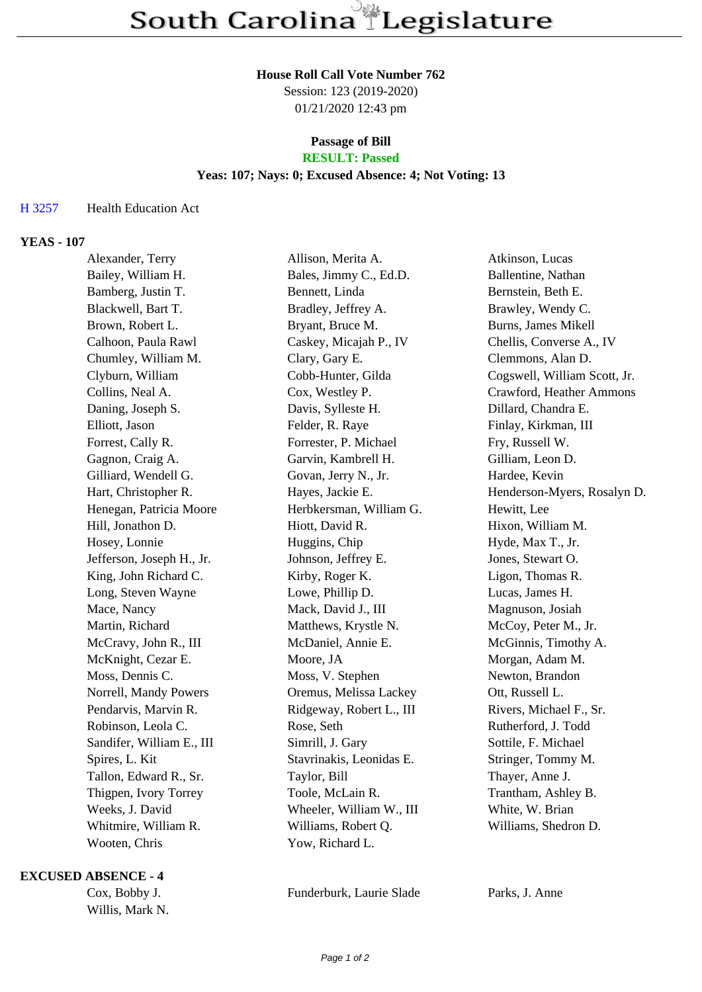#### **House Roll Call Vote Number 762**

Session: 123 (2019-2020) 01/21/2020 12:43 pm

# **Passage of Bill**

## **RESULT: Passed**

### **Yeas: 107; Nays: 0; Excused Absence: 4; Not Voting: 13**

### H 3257 Health Education Act

### **YEAS - 107**

| Alexander, Terry          | Allison, Merita A.       | Atkinson, Lucas              |
|---------------------------|--------------------------|------------------------------|
| Bailey, William H.        | Bales, Jimmy C., Ed.D.   | Ballentine, Nathan           |
| Bamberg, Justin T.        | Bennett, Linda           | Bernstein, Beth E.           |
| Blackwell, Bart T.        | Bradley, Jeffrey A.      | Brawley, Wendy C.            |
| Brown, Robert L.          | Bryant, Bruce M.         | Burns, James Mikell          |
| Calhoon, Paula Rawl       | Caskey, Micajah P., IV   | Chellis, Converse A., IV     |
| Chumley, William M.       | Clary, Gary E.           | Clemmons, Alan D.            |
| Clyburn, William          | Cobb-Hunter, Gilda       | Cogswell, William Scott, Jr. |
| Collins, Neal A.          | Cox, Westley P.          | Crawford, Heather Ammons     |
| Daning, Joseph S.         | Davis, Sylleste H.       | Dillard, Chandra E.          |
| Elliott, Jason            | Felder, R. Raye          | Finlay, Kirkman, III         |
| Forrest, Cally R.         | Forrester, P. Michael    | Fry, Russell W.              |
| Gagnon, Craig A.          | Garvin, Kambrell H.      | Gilliam, Leon D.             |
| Gilliard, Wendell G.      | Govan, Jerry N., Jr.     | Hardee, Kevin                |
| Hart, Christopher R.      | Hayes, Jackie E.         | Henderson-Myers, Rosalyn D.  |
| Henegan, Patricia Moore   | Herbkersman, William G.  | Hewitt, Lee                  |
| Hill, Jonathon D.         | Hiott, David R.          | Hixon, William M.            |
| Hosey, Lonnie             | Huggins, Chip            | Hyde, Max T., Jr.            |
| Jefferson, Joseph H., Jr. | Johnson, Jeffrey E.      | Jones, Stewart O.            |
| King, John Richard C.     | Kirby, Roger K.          | Ligon, Thomas R.             |
| Long, Steven Wayne        | Lowe, Phillip D.         | Lucas, James H.              |
| Mace, Nancy               | Mack, David J., III      | Magnuson, Josiah             |
| Martin, Richard           | Matthews, Krystle N.     | McCoy, Peter M., Jr.         |
| McCravy, John R., III     | McDaniel, Annie E.       | McGinnis, Timothy A.         |
| McKnight, Cezar E.        | Moore, JA                | Morgan, Adam M.              |
| Moss, Dennis C.           | Moss, V. Stephen         | Newton, Brandon              |
| Norrell, Mandy Powers     | Oremus, Melissa Lackey   | Ott, Russell L.              |
| Pendarvis, Marvin R.      | Ridgeway, Robert L., III | Rivers, Michael F., Sr.      |
| Robinson, Leola C.        | Rose, Seth               | Rutherford, J. Todd          |
| Sandifer, William E., III | Simrill, J. Gary         | Sottile, F. Michael          |
| Spires, L. Kit            | Stavrinakis, Leonidas E. | Stringer, Tommy M.           |
| Tallon, Edward R., Sr.    | Taylor, Bill             | Thayer, Anne J.              |
| Thigpen, Ivory Torrey     | Toole, McLain R.         | Trantham, Ashley B.          |
| Weeks, J. David           | Wheeler, William W., III | White, W. Brian              |
| Whitmire, William R.      | Williams, Robert Q.      | Williams, Shedron D.         |
| Wooten, Chris             | Yow, Richard L.          |                              |
|                           |                          |                              |

#### **EXCUSED ABSENCE - 4**

Willis, Mark N.

Cox, Bobby J. Funderburk, Laurie Slade Parks, J. Anne